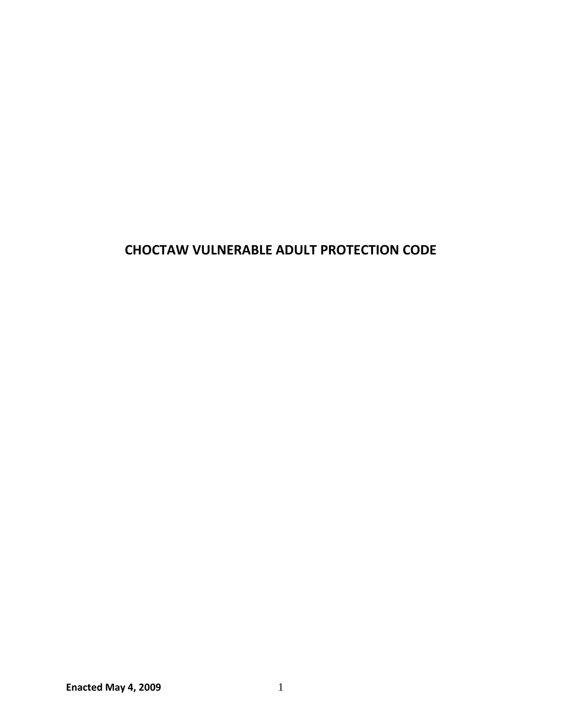# **CHOCTAW VULNERABLE ADULT PROTECTION CODE**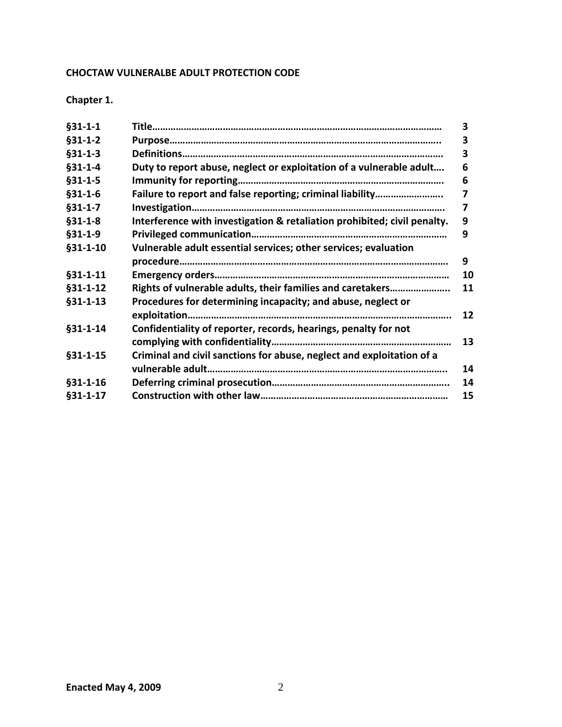# **CHOCTAW VULNERALBE ADULT PROTECTION CODE**

**Chapter 1.**

|                                                                          | 3  |
|--------------------------------------------------------------------------|----|
|                                                                          | з  |
|                                                                          | 3  |
| Duty to report abuse, neglect or exploitation of a vulnerable adult      | 6  |
|                                                                          | 6  |
|                                                                          | 7  |
|                                                                          | 7  |
| Interference with investigation & retaliation prohibited; civil penalty. | 9  |
|                                                                          | 9  |
| Vulnerable adult essential services; other services; evaluation          |    |
|                                                                          | 9  |
|                                                                          | 10 |
| Rights of vulnerable adults, their families and caretakers               | 11 |
| Procedures for determining incapacity; and abuse, neglect or             |    |
|                                                                          | 12 |
| Confidentiality of reporter, records, hearings, penalty for not          |    |
|                                                                          | 13 |
| Criminal and civil sanctions for abuse, neglect and exploitation of a    |    |
|                                                                          | 14 |
|                                                                          | 14 |
|                                                                          | 15 |
|                                                                          |    |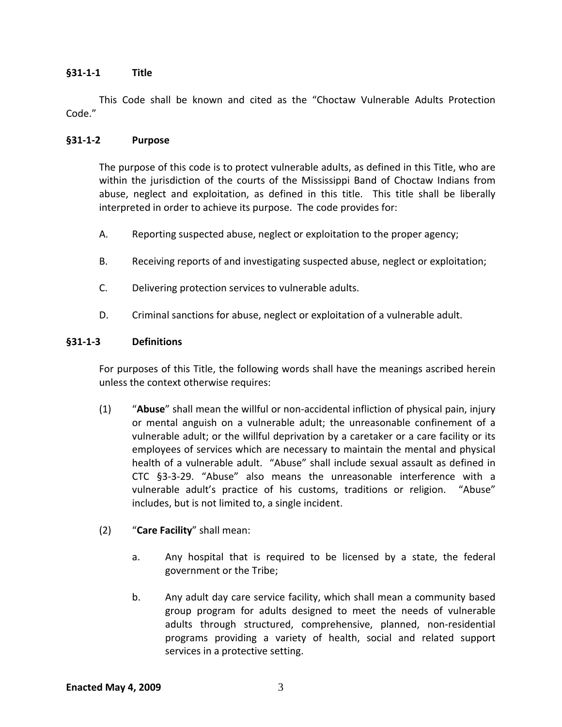#### **§31‐1‐1 Title**

This Code shall be known and cited as the "Choctaw Vulnerable Adults Protection Code."

#### **§31‐1‐2 Purpose**

The purpose of this code is to protect vulnerable adults, as defined in this Title, who are within the jurisdiction of the courts of the Mississippi Band of Choctaw Indians from abuse, neglect and exploitation, as defined in this title. This title shall be liberally interpreted in order to achieve its purpose. The code provides for:

- A. Reporting suspected abuse, neglect or exploitation to the proper agency;
- B. Receiving reports of and investigating suspected abuse, neglect or exploitation;
- C. Delivering protection services to vulnerable adults.
- D. Criminal sanctions for abuse, neglect or exploitation of a vulnerable adult.

#### **§31‐1‐3 Definitions**

For purposes of this Title, the following words shall have the meanings ascribed herein unless the context otherwise requires:

- (1) "**Abuse**" shall mean the willful or non‐accidental infliction of physical pain, injury or mental anguish on a vulnerable adult; the unreasonable confinement of a vulnerable adult; or the willful deprivation by a caretaker or a care facility or its employees of services which are necessary to maintain the mental and physical health of a vulnerable adult. "Abuse" shall include sexual assault as defined in CTC §3‐3‐29. "Abuse" also means the unreasonable interference with a vulnerable adult's practice of his customs, traditions or religion. "Abuse" includes, but is not limited to, a single incident.
- (2) "**Care Facility**" shall mean:
	- a. Any hospital that is required to be licensed by a state, the federal government or the Tribe;
	- b. Any adult day care service facility, which shall mean a community based group program for adults designed to meet the needs of vulnerable adults through structured, comprehensive, planned, non‐residential programs providing a variety of health, social and related support services in a protective setting.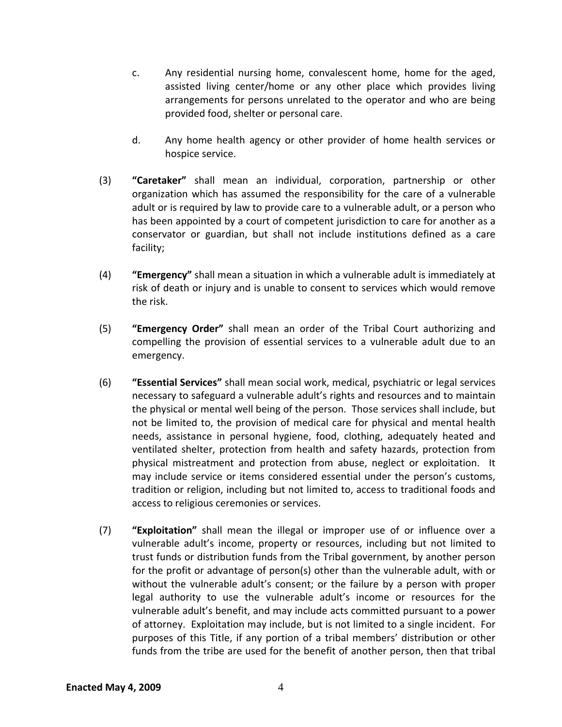- c. Any residential nursing home, convalescent home, home for the aged, assisted living center/home or any other place which provides living arrangements for persons unrelated to the operator and who are being provided food, shelter or personal care.
- d. Any home health agency or other provider of home health services or hospice service.
- (3) **"Caretaker"** shall mean an individual, corporation, partnership or other organization which has assumed the responsibility for the care of a vulnerable adult or is required by law to provide care to a vulnerable adult, or a person who has been appointed by a court of competent jurisdiction to care for another as a conservator or guardian, but shall not include institutions defined as a care facility;
- (4) **"Emergency"** shall mean a situation in which a vulnerable adult is immediately at risk of death or injury and is unable to consent to services which would remove the risk.
- (5) **"Emergency Order"** shall mean an order of the Tribal Court authorizing and compelling the provision of essential services to a vulnerable adult due to an emergency.
- (6) **"Essential Services"** shall mean social work, medical, psychiatric or legal services necessary to safeguard a vulnerable adult's rights and resources and to maintain the physical or mental well being of the person. Those services shall include, but not be limited to, the provision of medical care for physical and mental health needs, assistance in personal hygiene, food, clothing, adequately heated and ventilated shelter, protection from health and safety hazards, protection from physical mistreatment and protection from abuse, neglect or exploitation. It may include service or items considered essential under the person's customs, tradition or religion, including but not limited to, access to traditional foods and access to religious ceremonies or services.
- (7) **"Exploitation"** shall mean the illegal or improper use of or influence over a vulnerable adult's income, property or resources, including but not limited to trust funds or distribution funds from the Tribal government, by another person for the profit or advantage of person(s) other than the vulnerable adult, with or without the vulnerable adult's consent; or the failure by a person with proper legal authority to use the vulnerable adult's income or resources for the vulnerable adult's benefit, and may include acts committed pursuant to a power of attorney. Exploitation may include, but is not limited to a single incident. For purposes of this Title, if any portion of a tribal members' distribution or other funds from the tribe are used for the benefit of another person, then that tribal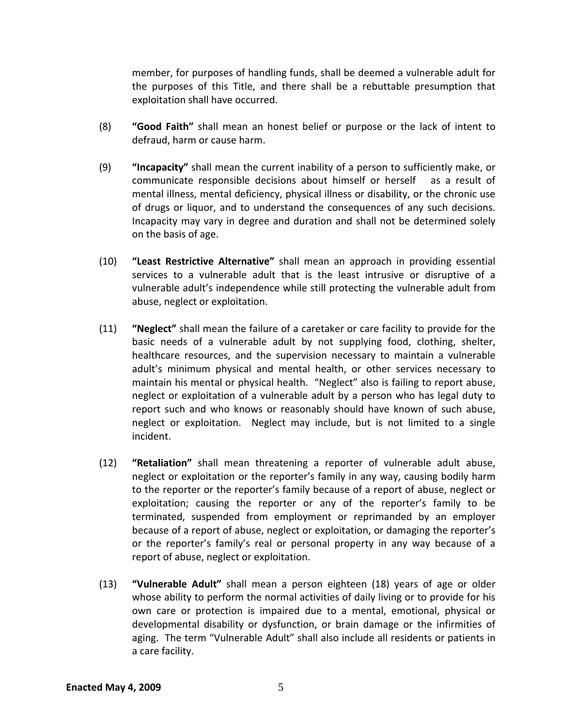member, for purposes of handling funds, shall be deemed a vulnerable adult for the purposes of this Title, and there shall be a rebuttable presumption that exploitation shall have occurred.

- (8) **"Good Faith"** shall mean an honest belief or purpose or the lack of intent to defraud, harm or cause harm.
- (9) **"Incapacity"** shall mean the current inability of a person to sufficiently make, or communicate responsible decisions about himself or herself as a result of mental illness, mental deficiency, physical illness or disability, or the chronic use of drugs or liquor, and to understand the consequences of any such decisions. Incapacity may vary in degree and duration and shall not be determined solely on the basis of age.
- (10) **"Least Restrictive Alternative"** shall mean an approach in providing essential services to a vulnerable adult that is the least intrusive or disruptive of a vulnerable adult's independence while still protecting the vulnerable adult from abuse, neglect or exploitation.
- (11) **"Neglect"** shall mean the failure of a caretaker or care facility to provide for the basic needs of a vulnerable adult by not supplying food, clothing, shelter, healthcare resources, and the supervision necessary to maintain a vulnerable adult's minimum physical and mental health, or other services necessary to maintain his mental or physical health. "Neglect" also is failing to report abuse, neglect or exploitation of a vulnerable adult by a person who has legal duty to report such and who knows or reasonably should have known of such abuse, neglect or exploitation. Neglect may include, but is not limited to a single incident.
- (12) **"Retaliation"** shall mean threatening a reporter of vulnerable adult abuse, neglect or exploitation or the reporter's family in any way, causing bodily harm to the reporter or the reporter's family because of a report of abuse, neglect or exploitation; causing the reporter or any of the reporter's family to be terminated, suspended from employment or reprimanded by an employer because of a report of abuse, neglect or exploitation, or damaging the reporter's or the reporter's family's real or personal property in any way because of a report of abuse, neglect or exploitation.
- (13) **"Vulnerable Adult"** shall mean a person eighteen (18) years of age or older whose ability to perform the normal activities of daily living or to provide for his own care or protection is impaired due to a mental, emotional, physical or developmental disability or dysfunction, or brain damage or the infirmities of aging. The term "Vulnerable Adult" shall also include all residents or patients in a care facility.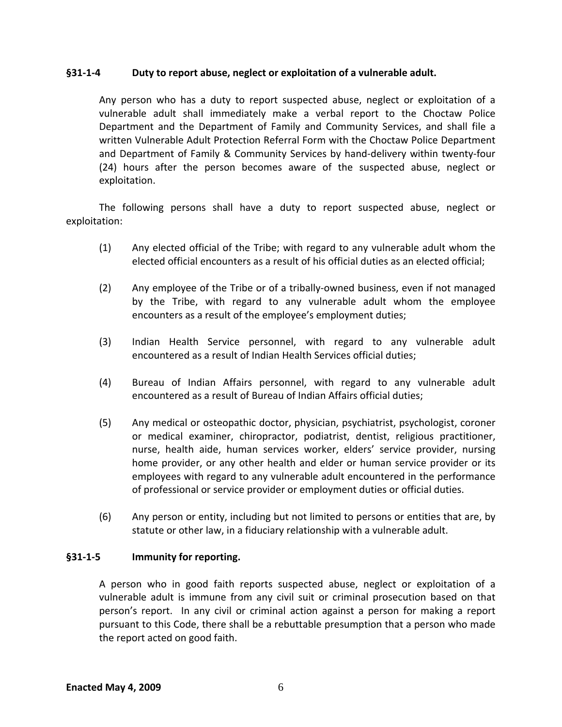#### **§31‐1‐4 Duty to report abuse, neglect or exploitation of a vulnerable adult.**

Any person who has a duty to report suspected abuse, neglect or exploitation of a vulnerable adult shall immediately make a verbal report to the Choctaw Police Department and the Department of Family and Community Services, and shall file a written Vulnerable Adult Protection Referral Form with the Choctaw Police Department and Department of Family & Community Services by hand‐delivery within twenty‐four (24) hours after the person becomes aware of the suspected abuse, neglect or exploitation.

The following persons shall have a duty to report suspected abuse, neglect or exploitation:

- (1) Any elected official of the Tribe; with regard to any vulnerable adult whom the elected official encounters as a result of his official duties as an elected official;
- (2) Any employee of the Tribe or of a tribally‐owned business, even if not managed by the Tribe, with regard to any vulnerable adult whom the employee encounters as a result of the employee's employment duties;
- (3) Indian Health Service personnel, with regard to any vulnerable adult encountered as a result of Indian Health Services official duties;
- (4) Bureau of Indian Affairs personnel, with regard to any vulnerable adult encountered as a result of Bureau of Indian Affairs official duties;
- (5) Any medical or osteopathic doctor, physician, psychiatrist, psychologist, coroner or medical examiner, chiropractor, podiatrist, dentist, religious practitioner, nurse, health aide, human services worker, elders' service provider, nursing home provider, or any other health and elder or human service provider or its employees with regard to any vulnerable adult encountered in the performance of professional or service provider or employment duties or official duties.
- (6) Any person or entity, including but not limited to persons or entities that are, by statute or other law, in a fiduciary relationship with a vulnerable adult.

#### **§31‐1‐5 Immunity for reporting.**

A person who in good faith reports suspected abuse, neglect or exploitation of a vulnerable adult is immune from any civil suit or criminal prosecution based on that person's report. In any civil or criminal action against a person for making a report pursuant to this Code, there shall be a rebuttable presumption that a person who made the report acted on good faith.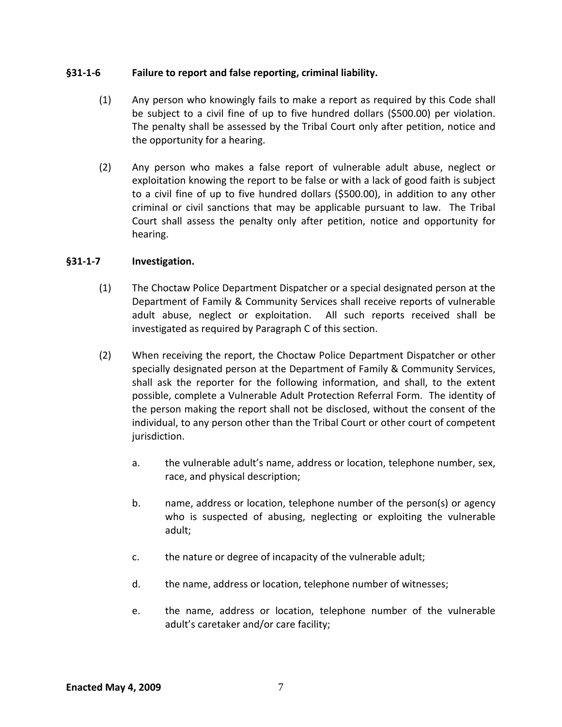#### **§31‐1‐6 Failure to report and false reporting, criminal liability.**

- (1) Any person who knowingly fails to make a report as required by this Code shall be subject to a civil fine of up to five hundred dollars (\$500.00) per violation. The penalty shall be assessed by the Tribal Court only after petition, notice and the opportunity for a hearing.
- (2) Any person who makes a false report of vulnerable adult abuse, neglect or exploitation knowing the report to be false or with a lack of good faith is subject to a civil fine of up to five hundred dollars (\$500.00), in addition to any other criminal or civil sanctions that may be applicable pursuant to law. The Tribal Court shall assess the penalty only after petition, notice and opportunity for hearing.

#### **§31‐1‐7 Investigation.**

- (1) The Choctaw Police Department Dispatcher or a special designated person at the Department of Family & Community Services shall receive reports of vulnerable adult abuse, neglect or exploitation. All such reports received shall be investigated as required by Paragraph C of this section.
- (2) When receiving the report, the Choctaw Police Department Dispatcher or other specially designated person at the Department of Family & Community Services, shall ask the reporter for the following information, and shall, to the extent possible, complete a Vulnerable Adult Protection Referral Form. The identity of the person making the report shall not be disclosed, without the consent of the individual, to any person other than the Tribal Court or other court of competent jurisdiction.
	- a. the vulnerable adult's name, address or location, telephone number, sex, race, and physical description;
	- b. name, address or location, telephone number of the person(s) or agency who is suspected of abusing, neglecting or exploiting the vulnerable adult;
	- c. the nature or degree of incapacity of the vulnerable adult;
	- d. the name, address or location, telephone number of witnesses;
	- e. the name, address or location, telephone number of the vulnerable adult's caretaker and/or care facility;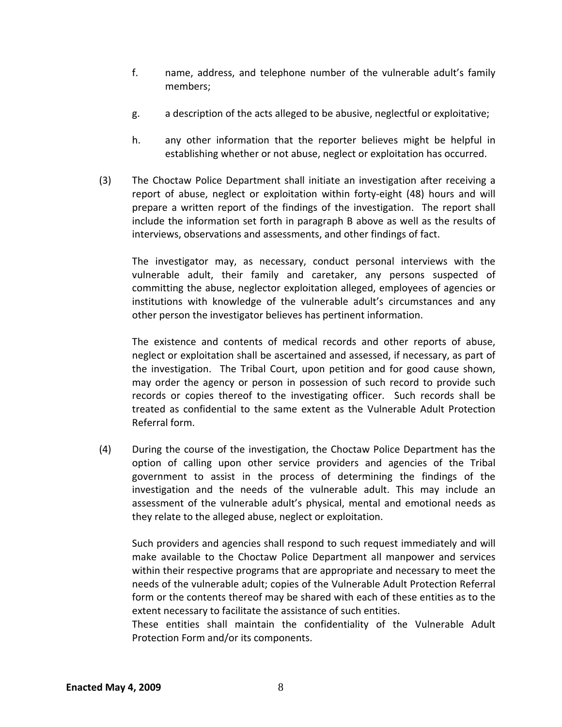- f. name, address, and telephone number of the vulnerable adult's family members;
- g. a description of the acts alleged to be abusive, neglectful or exploitative;
- h. any other information that the reporter believes might be helpful in establishing whether or not abuse, neglect or exploitation has occurred.
- (3) The Choctaw Police Department shall initiate an investigation after receiving a report of abuse, neglect or exploitation within forty-eight (48) hours and will prepare a written report of the findings of the investigation. The report shall include the information set forth in paragraph B above as well as the results of interviews, observations and assessments, and other findings of fact.

The investigator may, as necessary, conduct personal interviews with the vulnerable adult, their family and caretaker, any persons suspected of committing the abuse, neglector exploitation alleged, employees of agencies or institutions with knowledge of the vulnerable adult's circumstances and any other person the investigator believes has pertinent information.

The existence and contents of medical records and other reports of abuse, neglect or exploitation shall be ascertained and assessed, if necessary, as part of the investigation. The Tribal Court, upon petition and for good cause shown, may order the agency or person in possession of such record to provide such records or copies thereof to the investigating officer. Such records shall be treated as confidential to the same extent as the Vulnerable Adult Protection Referral form.

(4) During the course of the investigation, the Choctaw Police Department has the option of calling upon other service providers and agencies of the Tribal government to assist in the process of determining the findings of the investigation and the needs of the vulnerable adult. This may include an assessment of the vulnerable adult's physical, mental and emotional needs as they relate to the alleged abuse, neglect or exploitation.

Such providers and agencies shall respond to such request immediately and will make available to the Choctaw Police Department all manpower and services within their respective programs that are appropriate and necessary to meet the needs of the vulnerable adult; copies of the Vulnerable Adult Protection Referral form or the contents thereof may be shared with each of these entities as to the extent necessary to facilitate the assistance of such entities.

These entities shall maintain the confidentiality of the Vulnerable Adult Protection Form and/or its components.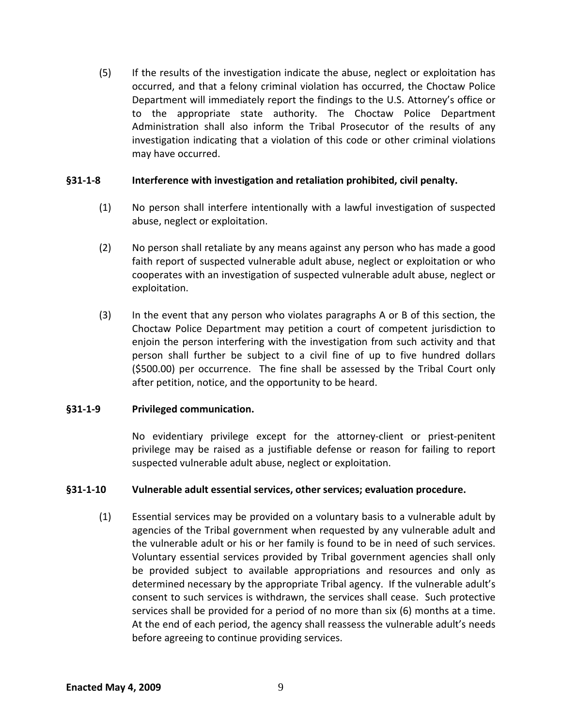(5) If the results of the investigation indicate the abuse, neglect or exploitation has occurred, and that a felony criminal violation has occurred, the Choctaw Police Department will immediately report the findings to the U.S. Attorney's office or to the appropriate state authority. The Choctaw Police Department Administration shall also inform the Tribal Prosecutor of the results of any investigation indicating that a violation of this code or other criminal violations may have occurred.

#### **§31‐1‐8 Interference with investigation and retaliation prohibited, civil penalty.**

- (1) No person shall interfere intentionally with a lawful investigation of suspected abuse, neglect or exploitation.
- (2) No person shall retaliate by any means against any person who has made a good faith report of suspected vulnerable adult abuse, neglect or exploitation or who cooperates with an investigation of suspected vulnerable adult abuse, neglect or exploitation.
- (3) In the event that any person who violates paragraphs A or B of this section, the Choctaw Police Department may petition a court of competent jurisdiction to enjoin the person interfering with the investigation from such activity and that person shall further be subject to a civil fine of up to five hundred dollars (\$500.00) per occurrence. The fine shall be assessed by the Tribal Court only after petition, notice, and the opportunity to be heard.

#### **§31‐1‐9 Privileged communication.**

No evidentiary privilege except for the attorney‐client or priest‐penitent privilege may be raised as a justifiable defense or reason for failing to report suspected vulnerable adult abuse, neglect or exploitation.

#### **§31‐1‐10 Vulnerable adult essential services, other services; evaluation procedure.**

(1) Essential services may be provided on a voluntary basis to a vulnerable adult by agencies of the Tribal government when requested by any vulnerable adult and the vulnerable adult or his or her family is found to be in need of such services. Voluntary essential services provided by Tribal government agencies shall only be provided subject to available appropriations and resources and only as determined necessary by the appropriate Tribal agency. If the vulnerable adult's consent to such services is withdrawn, the services shall cease. Such protective services shall be provided for a period of no more than six (6) months at a time. At the end of each period, the agency shall reassess the vulnerable adult's needs before agreeing to continue providing services.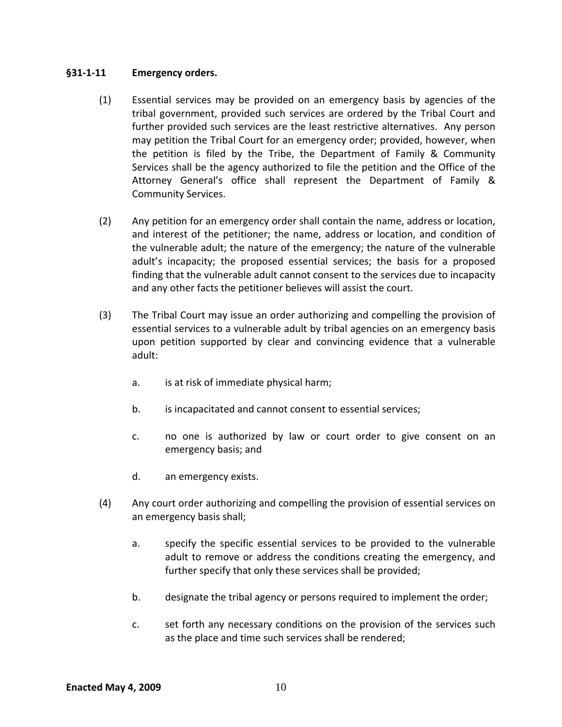#### **§31‐1‐11 Emergency orders.**

- (1) Essential services may be provided on an emergency basis by agencies of the tribal government, provided such services are ordered by the Tribal Court and further provided such services are the least restrictive alternatives. Any person may petition the Tribal Court for an emergency order; provided, however, when the petition is filed by the Tribe, the Department of Family & Community Services shall be the agency authorized to file the petition and the Office of the Attorney General's office shall represent the Department of Family & Community Services.
- (2) Any petition for an emergency order shall contain the name, address or location, and interest of the petitioner; the name, address or location, and condition of the vulnerable adult; the nature of the emergency; the nature of the vulnerable adult's incapacity; the proposed essential services; the basis for a proposed finding that the vulnerable adult cannot consent to the services due to incapacity and any other facts the petitioner believes will assist the court.
- (3) The Tribal Court may issue an order authorizing and compelling the provision of essential services to a vulnerable adult by tribal agencies on an emergency basis upon petition supported by clear and convincing evidence that a vulnerable adult:
	- a. is at risk of immediate physical harm;
	- b. is incapacitated and cannot consent to essential services;
	- c. no one is authorized by law or court order to give consent on an emergency basis; and
	- d. an emergency exists.
- (4) Any court order authorizing and compelling the provision of essential services on an emergency basis shall;
	- a. specify the specific essential services to be provided to the vulnerable adult to remove or address the conditions creating the emergency, and further specify that only these services shall be provided;
	- b. designate the tribal agency or persons required to implement the order;
	- c. set forth any necessary conditions on the provision of the services such as the place and time such services shall be rendered;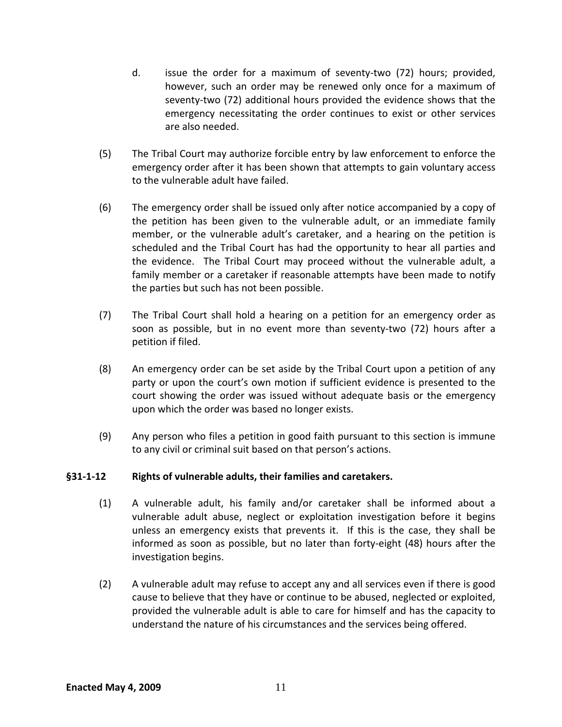- d. issue the order for a maximum of seventy‐two (72) hours; provided, however, such an order may be renewed only once for a maximum of seventy-two (72) additional hours provided the evidence shows that the emergency necessitating the order continues to exist or other services are also needed.
- (5) The Tribal Court may authorize forcible entry by law enforcement to enforce the emergency order after it has been shown that attempts to gain voluntary access to the vulnerable adult have failed.
- (6) The emergency order shall be issued only after notice accompanied by a copy of the petition has been given to the vulnerable adult, or an immediate family member, or the vulnerable adult's caretaker, and a hearing on the petition is scheduled and the Tribal Court has had the opportunity to hear all parties and the evidence. The Tribal Court may proceed without the vulnerable adult, a family member or a caretaker if reasonable attempts have been made to notify the parties but such has not been possible.
- (7) The Tribal Court shall hold a hearing on a petition for an emergency order as soon as possible, but in no event more than seventy-two (72) hours after a petition if filed.
- (8) An emergency order can be set aside by the Tribal Court upon a petition of any party or upon the court's own motion if sufficient evidence is presented to the court showing the order was issued without adequate basis or the emergency upon which the order was based no longer exists.
- (9) Any person who files a petition in good faith pursuant to this section is immune to any civil or criminal suit based on that person's actions.

#### **§31‐1‐12 Rights of vulnerable adults, their families and caretakers.**

- (1) A vulnerable adult, his family and/or caretaker shall be informed about a vulnerable adult abuse, neglect or exploitation investigation before it begins unless an emergency exists that prevents it. If this is the case, they shall be informed as soon as possible, but no later than forty-eight (48) hours after the investigation begins.
- (2) A vulnerable adult may refuse to accept any and all services even if there is good cause to believe that they have or continue to be abused, neglected or exploited, provided the vulnerable adult is able to care for himself and has the capacity to understand the nature of his circumstances and the services being offered.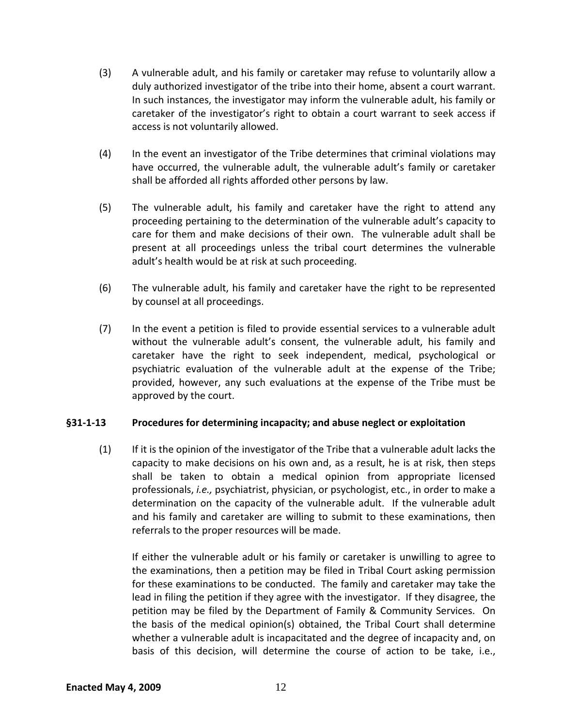- (3) A vulnerable adult, and his family or caretaker may refuse to voluntarily allow a duly authorized investigator of the tribe into their home, absent a court warrant. In such instances, the investigator may inform the vulnerable adult, his family or caretaker of the investigator's right to obtain a court warrant to seek access if access is not voluntarily allowed.
- (4) In the event an investigator of the Tribe determines that criminal violations may have occurred, the vulnerable adult, the vulnerable adult's family or caretaker shall be afforded all rights afforded other persons by law.
- (5) The vulnerable adult, his family and caretaker have the right to attend any proceeding pertaining to the determination of the vulnerable adult's capacity to care for them and make decisions of their own. The vulnerable adult shall be present at all proceedings unless the tribal court determines the vulnerable adult's health would be at risk at such proceeding.
- (6) The vulnerable adult, his family and caretaker have the right to be represented by counsel at all proceedings.
- (7) In the event a petition is filed to provide essential services to a vulnerable adult without the vulnerable adult's consent, the vulnerable adult, his family and caretaker have the right to seek independent, medical, psychological or psychiatric evaluation of the vulnerable adult at the expense of the Tribe; provided, however, any such evaluations at the expense of the Tribe must be approved by the court.

#### **§31‐1‐13 Procedures for determining incapacity; and abuse neglect or exploitation**

(1) If it is the opinion of the investigator of the Tribe that a vulnerable adult lacks the capacity to make decisions on his own and, as a result, he is at risk, then steps shall be taken to obtain a medical opinion from appropriate licensed professionals, *i.e.,* psychiatrist, physician, or psychologist, etc., in order to make a determination on the capacity of the vulnerable adult. If the vulnerable adult and his family and caretaker are willing to submit to these examinations, then referrals to the proper resources will be made.

If either the vulnerable adult or his family or caretaker is unwilling to agree to the examinations, then a petition may be filed in Tribal Court asking permission for these examinations to be conducted. The family and caretaker may take the lead in filing the petition if they agree with the investigator. If they disagree, the petition may be filed by the Department of Family & Community Services. On the basis of the medical opinion(s) obtained, the Tribal Court shall determine whether a vulnerable adult is incapacitated and the degree of incapacity and, on basis of this decision, will determine the course of action to be take, i.e.,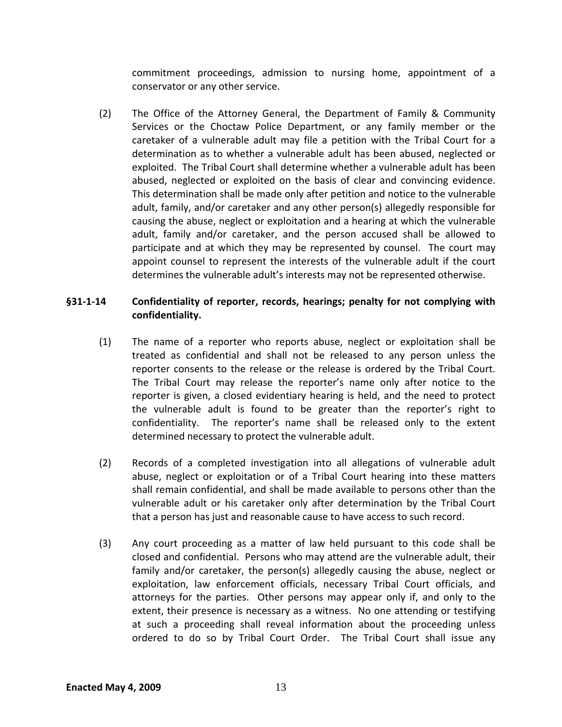commitment proceedings, admission to nursing home, appointment of a conservator or any other service.

(2) The Office of the Attorney General, the Department of Family & Community Services or the Choctaw Police Department, or any family member or the caretaker of a vulnerable adult may file a petition with the Tribal Court for a determination as to whether a vulnerable adult has been abused, neglected or exploited. The Tribal Court shall determine whether a vulnerable adult has been abused, neglected or exploited on the basis of clear and convincing evidence. This determination shall be made only after petition and notice to the vulnerable adult, family, and/or caretaker and any other person(s) allegedly responsible for causing the abuse, neglect or exploitation and a hearing at which the vulnerable adult, family and/or caretaker, and the person accused shall be allowed to participate and at which they may be represented by counsel. The court may appoint counsel to represent the interests of the vulnerable adult if the court determines the vulnerable adult's interests may not be represented otherwise.

## **§31‐1‐14 Confidentiality of reporter, records, hearings; penalty for not complying with confidentiality.**

- (1) The name of a reporter who reports abuse, neglect or exploitation shall be treated as confidential and shall not be released to any person unless the reporter consents to the release or the release is ordered by the Tribal Court. The Tribal Court may release the reporter's name only after notice to the reporter is given, a closed evidentiary hearing is held, and the need to protect the vulnerable adult is found to be greater than the reporter's right to confidentiality. The reporter's name shall be released only to the extent determined necessary to protect the vulnerable adult.
- (2) Records of a completed investigation into all allegations of vulnerable adult abuse, neglect or exploitation or of a Tribal Court hearing into these matters shall remain confidential, and shall be made available to persons other than the vulnerable adult or his caretaker only after determination by the Tribal Court that a person has just and reasonable cause to have access to such record.
- (3) Any court proceeding as a matter of law held pursuant to this code shall be closed and confidential. Persons who may attend are the vulnerable adult, their family and/or caretaker, the person(s) allegedly causing the abuse, neglect or exploitation, law enforcement officials, necessary Tribal Court officials, and attorneys for the parties. Other persons may appear only if, and only to the extent, their presence is necessary as a witness. No one attending or testifying at such a proceeding shall reveal information about the proceeding unless ordered to do so by Tribal Court Order. The Tribal Court shall issue any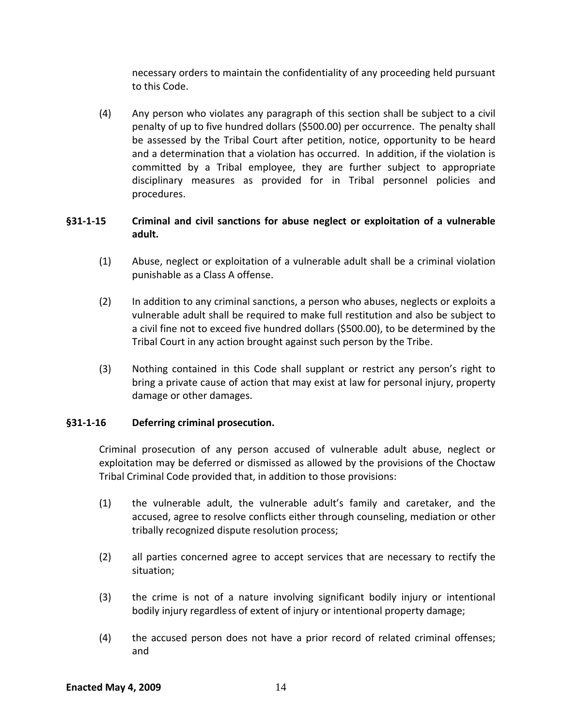necessary orders to maintain the confidentiality of any proceeding held pursuant to this Code.

(4) Any person who violates any paragraph of this section shall be subject to a civil penalty of up to five hundred dollars (\$500.00) per occurrence. The penalty shall be assessed by the Tribal Court after petition, notice, opportunity to be heard and a determination that a violation has occurred. In addition, if the violation is committed by a Tribal employee, they are further subject to appropriate disciplinary measures as provided for in Tribal personnel policies and procedures.

# **§31‐1‐15 Criminal and civil sanctions for abuse neglect or exploitation of a vulnerable adult.**

- (1) Abuse, neglect or exploitation of a vulnerable adult shall be a criminal violation punishable as a Class A offense.
- (2) In addition to any criminal sanctions, a person who abuses, neglects or exploits a vulnerable adult shall be required to make full restitution and also be subject to a civil fine not to exceed five hundred dollars (\$500.00), to be determined by the Tribal Court in any action brought against such person by the Tribe.
- (3) Nothing contained in this Code shall supplant or restrict any person's right to bring a private cause of action that may exist at law for personal injury, property damage or other damages.

# **§31‐1‐16 Deferring criminal prosecution.**

Criminal prosecution of any person accused of vulnerable adult abuse, neglect or exploitation may be deferred or dismissed as allowed by the provisions of the Choctaw Tribal Criminal Code provided that, in addition to those provisions:

- (1) the vulnerable adult, the vulnerable adult's family and caretaker, and the accused, agree to resolve conflicts either through counseling, mediation or other tribally recognized dispute resolution process;
- (2) all parties concerned agree to accept services that are necessary to rectify the situation;
- (3) the crime is not of a nature involving significant bodily injury or intentional bodily injury regardless of extent of injury or intentional property damage;
- (4) the accused person does not have a prior record of related criminal offenses; and